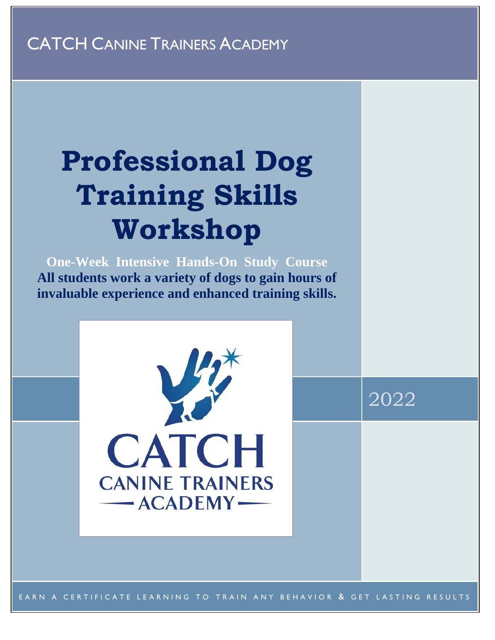# CATCH CANINE TRAINERS ACADEMY

# **Professional Dog Training Skills Workshop**

**One-Week Intensive Hands-On Study Course All students work a variety of dogs to gain hours of invaluable experience and enhanced training skills.**



EARN A CERTIFICATE LEARNING TO TRAIN ANY BEHAVIOR & GET LASTING RESULTS

2022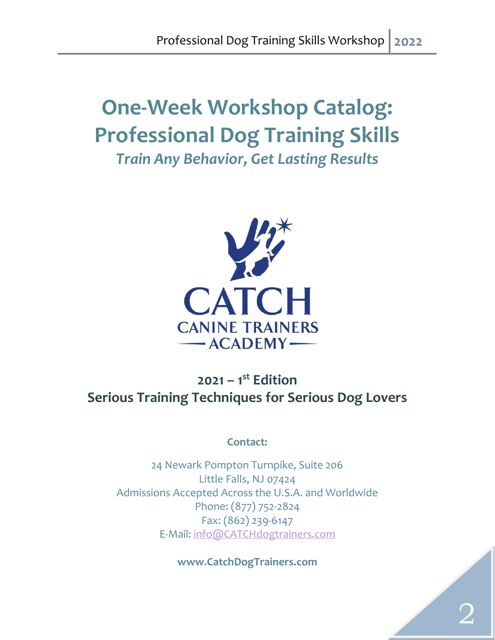# **One-Week Workshop Catalog: Professional Dog Training Skills** *Train Any Behavior, Get Lasting Results*



# **2021 – 1 st Edition Serious Training Techniques for Serious Dog Lovers**

#### **Contact:**

24 Newark Pompton Turnpike, Suite 206 Little Falls, NJ 07424 Admissions Accepted Across the U.S.A. and Worldwide Phone: (877) 752-2824 Fax: (862) 239-6147 E-Mail: [info@CATCHdogtrainers.com](mailto:info@CATCHdogtrainers.com)

**www.CatchDogTrainers.com**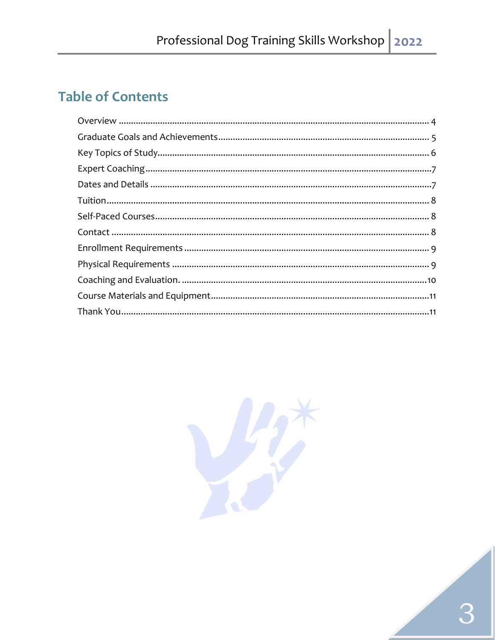# **Table of Contents**

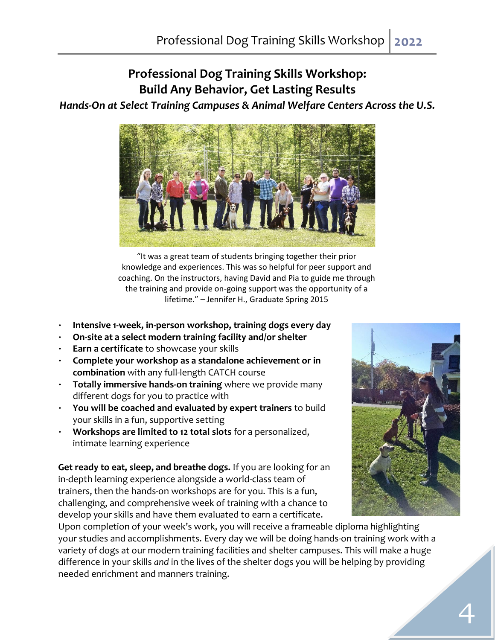### **Professional Dog Training Skills Workshop: Build Any Behavior, Get Lasting Results** *Hands-On at Select Training Campuses & Animal Welfare Centers Across the U.S.*



"It was a great team of students bringing together their prior knowledge and experiences. This was so helpful for peer support and coaching. On the instructors, having David and Pia to guide me through the training and provide on-going support was the opportunity of a lifetime." – Jennifer H., Graduate Spring 2015

- **Intensive 1-week, in-person workshop, training dogs every day**
- **On-site at a select modern training facility and/or shelter**
- **Earn a certificate** to showcase your skills
- **Complete your workshop as a standalone achievement or in combination** with [any full-length CATCH course](http://catchdogtrainers.com/our-program/courses-tuition/)
- **Totally immersive hands-on training** where we provide many different dogs for you to practice with
- **You will be coached and evaluated by expert trainers** to build your skills in a fun, supportive setting
- **Workshops are limited to 12 total slots** for a personalized, intimate learning experience

**Get ready to eat, sleep, and breathe dogs.** If you are looking for an in-depth learning experience alongside a world-class team of trainers, then the hands-on workshops are for you. This is a fun, challenging, and comprehensive week of training with a chance to develop your skills and have them evaluated to earn a certificate.



Upon completion of your week's work, you will receive a frameable diploma highlighting your studies and accomplishments. Every day we will be doing hands-on training work with a variety of dogs at our modern training facilities and shelter campuses. This will make a huge difference in your skills *and* in the lives of the shelter dogs you will be helping by providing needed enrichment and manners training.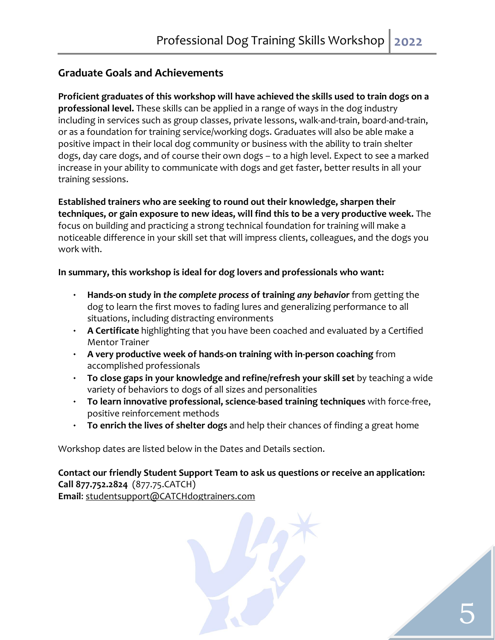#### **Graduate Goals and Achievements**

**Proficient graduates of this workshop will have achieved the skills used to train dogs on a professional level.** These skills can be applied in a range of ways in the dog industry including in services such as group classes, private lessons, walk-and-train, board-and-train, or as a foundation for training service/working dogs. Graduates will also be able make a positive impact in their local dog community or business with the ability to train shelter dogs, day care dogs, and of course their own dogs – to a high level. Expect to see a marked increase in your ability to communicate with dogs and get faster, better results in all your training sessions.

**Established trainers who are seeking to round out their knowledge, sharpen their techniques, or gain exposure to new ideas, will find this to be a very productive week.** The focus on building and practicing a strong technical foundation for training will make a noticeable difference in your skill set that will impress clients, colleagues, and the dogs you work with.

#### **In summary, this workshop is ideal for dog lovers and professionals who want:**

- **Hands-on study in** *the complete process* **of training** *any behavior* from getting the dog to learn the first moves to fading lures and generalizing performance to all situations, including distracting environments
- **A Certificate** highlighting that you have been coached and evaluated by a Certified Mentor Trainer
- **A very productive week of hands-on training with in-person coaching** from accomplished professionals
- **To close gaps in your knowledge and refine/refresh your skill set** by teaching a wide variety of behaviors to dogs of all sizes and personalities
- **To learn innovative professional, science-based training techniques** with force-free, positive reinforcement methods
- **To enrich the lives of shelter dogs** and help their chances of finding a great home

Workshop dates are listed below in the Dates and Details section.

**Contact our friendly Student Support Team to ask us questions or receive an application: Call 877.752.2824** (877.75.CATCH)

5

**Email**: [studentsupport@CATCHdogtrainers.com](mailto:studentsupport@CATCHdogtrainers.com)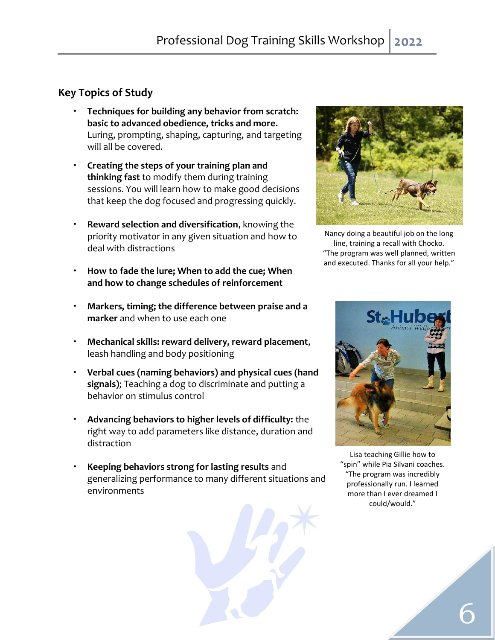#### <span id="page-5-0"></span>**Key Topics of Study**

- **Techniques for building any behavior from scratch: basic to advanced obedience, tricks and more.**  Luring, prompting, shaping, capturing, and targeting will all be covered.
- **Creating the steps of your training plan and thinking fast** to modify them during training sessions. You will learn how to make good decisions that keep the dog focused and progressing quickly.
- **Reward selection and diversification**, knowing the priority motivator in any given situation and how to deal with distractions
- **How to fade the lure; When to add the cue; When and how to change schedules of reinforcement**
- **Markers, timing; the difference between praise and a marker** and when to use each one
- **Mechanical skills: reward delivery, reward placement**, leash handling and body positioning
- **Verbal cues (naming behaviors) and physical cues (hand signals)**; Teaching a dog to discriminate and putting a behavior on stimulus control
- <span id="page-5-1"></span> **Advancing behaviors to higher levels of difficulty:** the right way to add parameters like distance, duration and distraction
- **Keeping behaviors strong for lasting results** and generalizing performance to many different situations and environments





Nancy doing a beautiful job on the long line, training a recall with Chocko. "The program was well planned, written and executed. Thanks for all your help."



Lisa teaching Gillie how to "spin" while Pia Silvani coaches. "The program was incredibly professionally run. I learned more than I ever dreamed I could/would."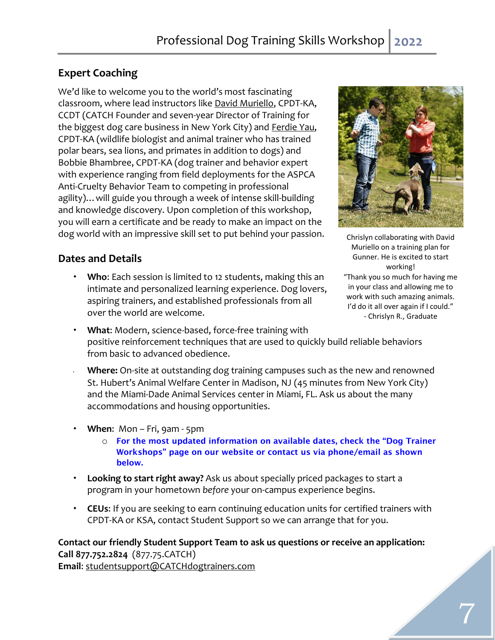#### <span id="page-6-0"></span>**Expert Coaching**

We'd like to welcome you to the world's most fascinating classroom, where lead instructors like [David Muriello,](http://catchdogtrainers.com/who-we-are/school-director/) CPDT-KA, CCDT (CATCH Founder and seven-year Director of Training for the biggest dog care business in New York City) and [Ferdie Yau,](http://www.sitsnwiggles.com/meetthetrainer/) CPDT-KA (wildlife biologist and animal trainer who has trained polar bears, sea lions, and primates in addition to dogs) and Bobbie Bhambree, CPDT-KA (dog trainer and behavior expert with experience ranging from field deployments for the ASPCA Anti-Cruelty Behavior Team to competing in professional agility)…will guide you through a week of intense skill-building and knowledge discovery. Upon completion of this workshop, you will earn a certificate and be ready to make an impact on the dog world with an impressive skill set to put behind your passion.

#### <span id="page-6-1"></span>**Dates and Details**

 **Who**: Each session is limited to 12 students, making this an intimate and personalized learning experience. Dog lovers, aspiring trainers, and established professionals from all over the world are welcome.



Chrislyn collaborating with David Muriello on a training plan for Gunner. He is excited to start working! "Thank you so much for having me in your class and allowing me to work with such amazing animals. I'd do it all over again if I could." - Chrislyn R., Graduate

- **What**: Modern, science-based, force-free training with positive reinforcement techniques that are used to quickly build reliable behaviors from basic to advanced obedience.
- **Where:** On-site at outstanding dog training campuses such as the new and renowned St. Hubert's Animal Welfare Center in Madison, NJ (45 minutes from New York City) and the Miami-Dade Animal Services center in Miami, FL. Ask us about the many accommodations and housing opportunities.
- **When**: Mon Fri, 9am 5pm
	- o For the most updated information on available dates, check the "Dog Trainer Workshops" page on our website or contact us via phone/email as shown below.
- **Looking to start right away?** [Ask us](http://catchdogtrainers.com/our-program/quick-application/) about specially priced packages to start a program in your hometown *before* your on-campus experience begins.
- **CEUs**: If you are seeking to earn continuing education units for certified trainers with CPDT-KA or KSA, contact Student Support so we can arrange that for you.

## **Contact our friendly Student Support Team to ask us questions or receive an application: Call 877.752.2824** (877.75.CATCH)

**Email**: [studentsupport@CATCHdogtrainers.com](mailto:studentsupport@CATCHdogtrainers.com)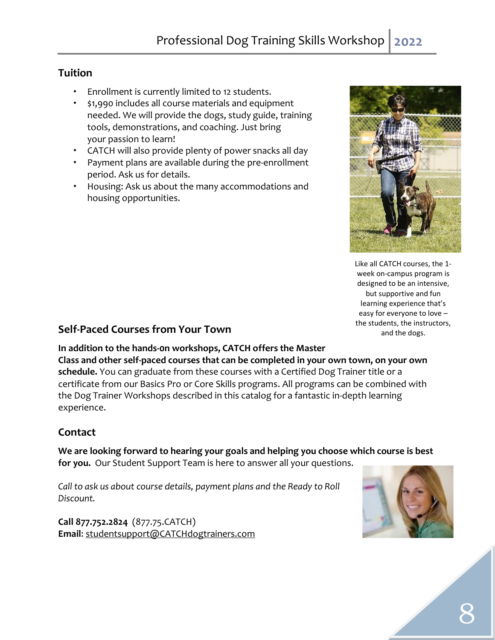#### <span id="page-7-0"></span>**Tuition**

- Enrollment is currently limited to 12 students.
- \$1,990 includes all course materials and equipment needed. We will provide the dogs, study guide, training tools, demonstrations, and coaching. Just bring your passion to learn!
- CATCH will also provide plenty of power snacks all day
- Payment plans are available during the pre-enrollment period. Ask us for details.
- Housing: Ask us about the many accommodations and housing opportunities.



Like all CATCH courses, the 1 week on-campus program is designed to be an intensive, but supportive and fun learning experience that's easy for everyone to love – the students, the instructors, and the dogs.

#### <span id="page-7-1"></span>**Self-Paced Courses from Your Town**

**In addition to the hands-0n workshops, CATCH offers the Master Class and other self-paced courses that can be completed in your own town, on your own schedule.** You can graduate from these courses with a Certified Dog Trainer title or a certificate from our Basics Pro or Core Skills programs. All programs can be combined with the Dog Trainer Workshops described in this catalog for a fantastic in-depth learning experience.

#### <span id="page-7-2"></span>**Contact**

**We are looking forward to hearing your goals and helping you choose which course is best for you.** Our Student Support Team is here to answer all your questions.

*Call to ask us about course details, payment plans and the Ready to Roll Discount.*

<span id="page-7-3"></span>**Call 877.752.2824** (877.75.CATCH) **Email**: [studentsupport@CATCHdogtrainers.com](mailto:studentsupport@CATCHdogtrainers.com)

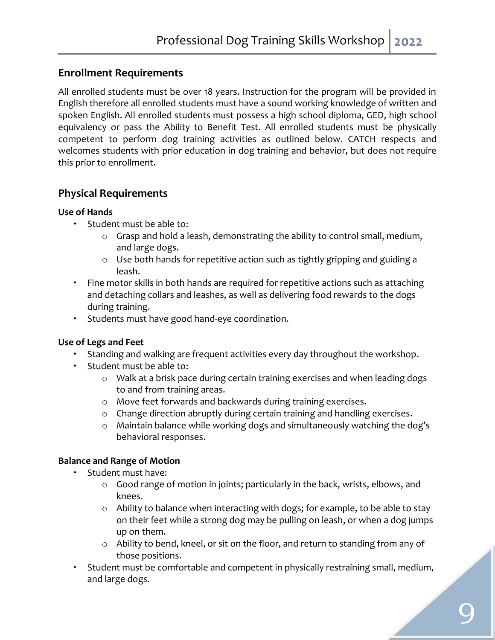#### **Enrollment Requirements**

All enrolled students must be over 18 years. Instruction for the program will be provided in English therefore all enrolled students must have a sound working knowledge of written and spoken English. All enrolled students must possess a high school diploma, GED, high school equivalency or pass the Ability to Benefit Test. All enrolled students must be physically competent to perform dog training activities as outlined below. CATCH respects and welcomes students with prior education in dog training and behavior, but does not require this prior to enrollment.

#### <span id="page-8-0"></span>**Physical Requirements**

#### **Use of Hands**

- Student must be able to:
	- o Grasp and hold a leash, demonstrating the ability to control small, medium, and large dogs.
	- o Use both hands for repetitive action such as tightly gripping and guiding a leash.
- Fine motor skills in both hands are required for repetitive actions such as attaching and detaching collars and leashes, as well as delivering food rewards to the dogs during training.
- Students must have good hand-eye coordination.

#### **Use of Legs and Feet**

- Standing and walking are frequent activities every day throughout the workshop.
- \* Student must be able to:
	- o Walk at a brisk pace during certain training exercises and when leading dogs to and from training areas.
	- o Move feet forwards and backwards during training exercises.
	- o Change direction abruptly during certain training and handling exercises.
	- o Maintain balance while working dogs and simultaneously watching the dog's behavioral responses.

#### **Balance and Range of Motion**

- Student must have:
	- o Good range of motion in joints; particularly in the back, wrists, elbows, and knees.
	- o Ability to balance when interacting with dogs; for example, to be able to stay on their feet while a strong dog may be pulling on leash, or when a dog jumps up on them.
	- o Ability to bend, kneel, or sit on the floor, and return to standing from any of those positions.
- Student must be comfortable and competent in physically restraining small, medium, and large dogs.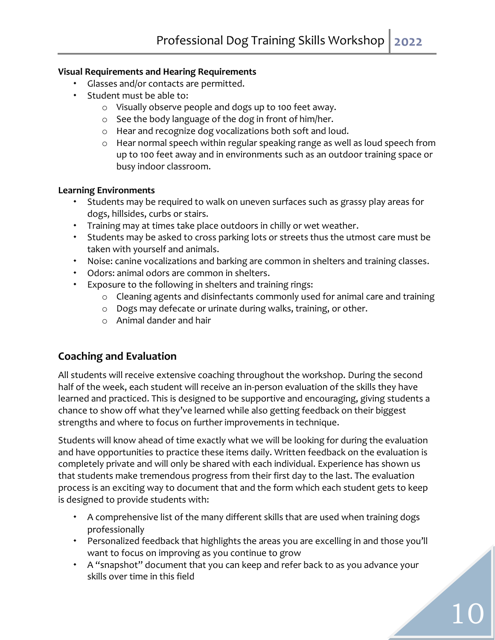#### **Visual Requirements and Hearing Requirements**

- Glasses and/or contacts are permitted.
- Student must be able to:
	- o Visually observe people and dogs up to 100 feet away.
	- o See the body language of the dog in front of him/her.
	- o Hear and recognize dog vocalizations both soft and loud.
	- o Hear normal speech within regular speaking range as well as loud speech from up to 100 feet away and in environments such as an outdoor training space or busy indoor classroom.

#### **Learning Environments**

- Students may be required to walk on uneven surfaces such as grassy play areas for dogs, hillsides, curbs or stairs.
- Training may at times take place outdoors in chilly or wet weather.
- \* Students may be asked to cross parking lots or streets thus the utmost care must be taken with yourself and animals.
- Noise: canine vocalizations and barking are common in shelters and training classes.
- Odors: animal odors are common in shelters.
- Exposure to the following in shelters and training rings:
	- o Cleaning agents and disinfectants commonly used for animal care and training
	- o Dogs may defecate or urinate during walks, training, or other.
	- o Animal dander and hair

#### <span id="page-9-0"></span>**Coaching and Evaluation**

<span id="page-9-1"></span>All students will receive extensive coaching throughout the workshop. During the second half of the week, each student will receive an in-person evaluation of the skills they have learned and practiced. This is designed to be supportive and encouraging, giving students a chance to show off what they've learned while also getting feedback on their biggest strengths and where to focus on further improvements in technique.

Students will know ahead of time exactly what we will be looking for during the evaluation and have opportunities to practice these items daily. Written feedback on the evaluation is completely private and will only be shared with each individual. Experience has shown us that students make tremendous progress from their first day to the last. The evaluation process is an exciting way to document that and the form which each student gets to keep is designed to provide students with:

- A comprehensive list of the many different skills that are used when training dogs professionally
- Personalized feedback that highlights the areas you are excelling in and those you'll want to focus on improving as you continue to grow
- A "snapshot" document that you can keep and refer back to as you advance your skills over time in this field